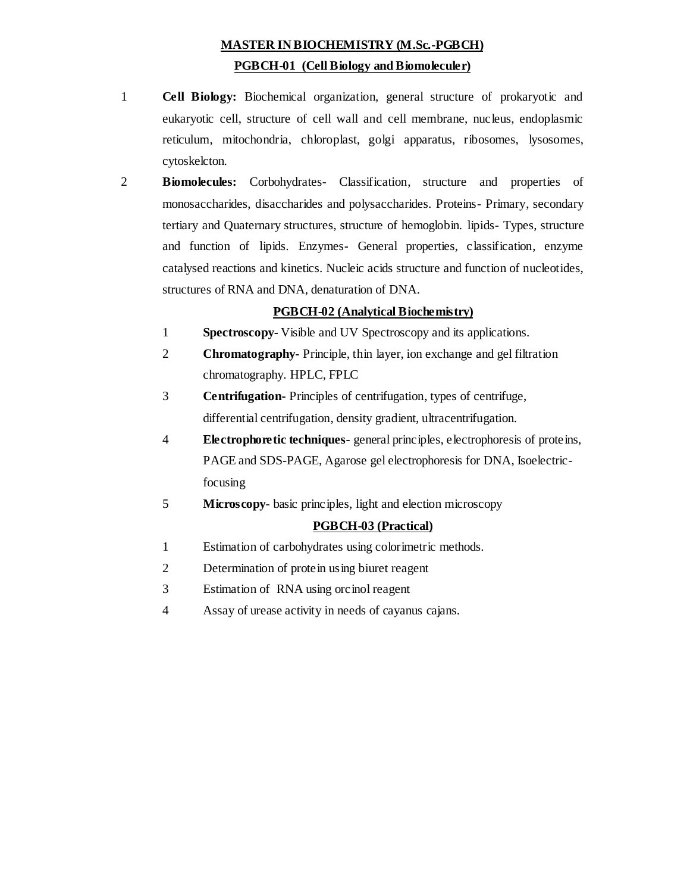# **MASTER IN BIOCHEMISTRY (M.Sc.-PGBCH) PGBCH-01 (Cell Biology and Biomoleculer)**

- 1 **Cell Biology:** Biochemical organization, general structure of prokaryotic and eukaryotic cell, structure of cell wall and cell membrane, nucleus, endoplasmic reticulum, mitochondria, chloroplast, golgi apparatus, ribosomes, lysosomes, cytoskelcton.
- 2 **Biomolecules:** Corbohydrates- Classification, structure and properties of monosaccharides, disaccharides and polysaccharides. Proteins- Primary, secondary tertiary and Quaternary structures, structure of hemoglobin. lipids- Types, structure and function of lipids. Enzymes- General properties, classification, enzyme catalysed reactions and kinetics. Nucleic acids structure and function of nucleotides, structures of RNA and DNA, denaturation of DNA.

### **PGBCH-02 (Analytical Biochemistry)**

- 1 **Spectroscopy-** Visible and UV Spectroscopy and its applications.
- 2 **Chromatography-** Principle, thin layer, ion exchange and gel filtration chromatography. HPLC, FPLC
- 3 **Centrifugation-** Principles of centrifugation, types of centrifuge, differential centrifugation, density gradient, ultracentrifugation.
- 4 **Electrophoretic techniques-** general principles, electrophoresis of proteins, PAGE and SDS-PAGE, Agarose gel electrophoresis for DNA, Isoelectricfocusing
- 5 **Microscopy** basic principles, light and election microscopy

### **PGBCH-03 (Practical)**

- 1 Estimation of carbohydrates using colorimetric methods.
- 2 Determination of protein using biuret reagent
- 3 Estimation of RNA using orcinol reagent
- 4 Assay of urease activity in needs of cayanus cajans.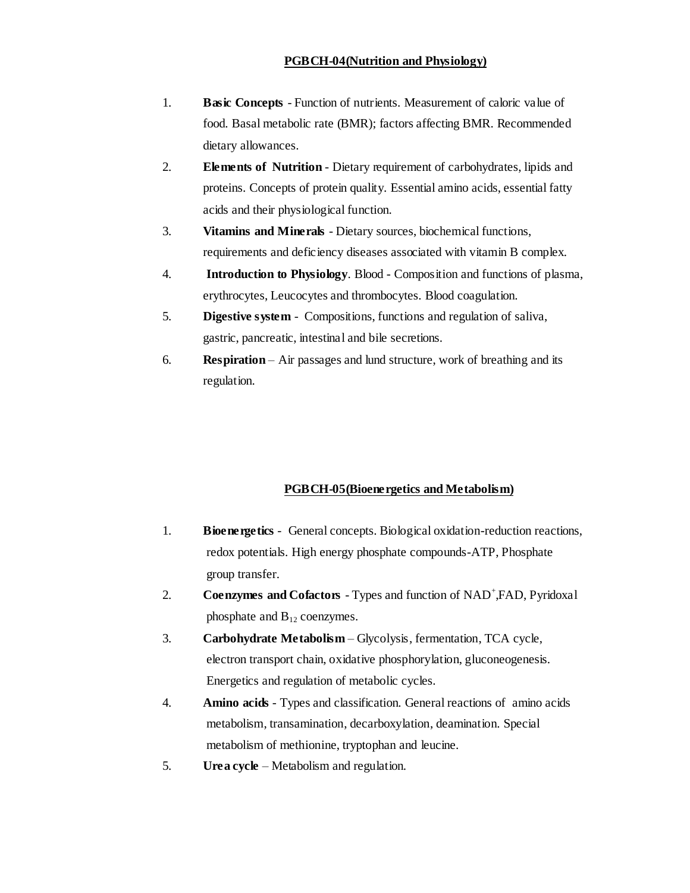#### **PGBCH-04(Nutrition and Physiology)**

- 1. **Basic Concepts** Function of nutrients. Measurement of caloric value of food. Basal metabolic rate (BMR); factors affecting BMR. Recommended dietary allowances.
- 2. **Elements of Nutrition** Dietary requirement of carbohydrates, lipids and proteins. Concepts of protein quality. Essential amino acids, essential fatty acids and their physiological function.
- 3. **Vitamins and Minerals** Dietary sources, biochemical functions, requirements and deficiency diseases associated with vitamin B complex.
- 4. **Introduction to Physiology**. Blood Composition and functions of plasma, erythrocytes, Leucocytes and thrombocytes. Blood coagulation.
- 5. **Digestive system** Compositions, functions and regulation of saliva, gastric, pancreatic, intestinal and bile secretions.
- 6. **Respiration**  Air passages and lund structure, work of breathing and its regulation.

# **PGBCH-05(Bioenergetics and Metabolism)**

- 1. **Bioenergetics** General concepts. Biological oxidation-reduction reactions, redox potentials. High energy phosphate compounds-ATP, Phosphate group transfer.
- 2. **Coenzymes and Cofactors** Types and function of NAD<sup>+</sup>, FAD, Pyridoxal phosphate and  $B_{12}$  coenzymes.
- 3. **Carbohydrate Metabolism** Glycolysis, fermentation, TCA cycle, electron transport chain, oxidative phosphorylation, gluconeogenesis. Energetics and regulation of metabolic cycles.
- 4. **Amino acids**  Types and classification. General reactions of amino acids metabolism, transamination, decarboxylation, deamination. Special metabolism of methionine, tryptophan and leucine.
- 5. **Urea cycle**  Metabolism and regulation.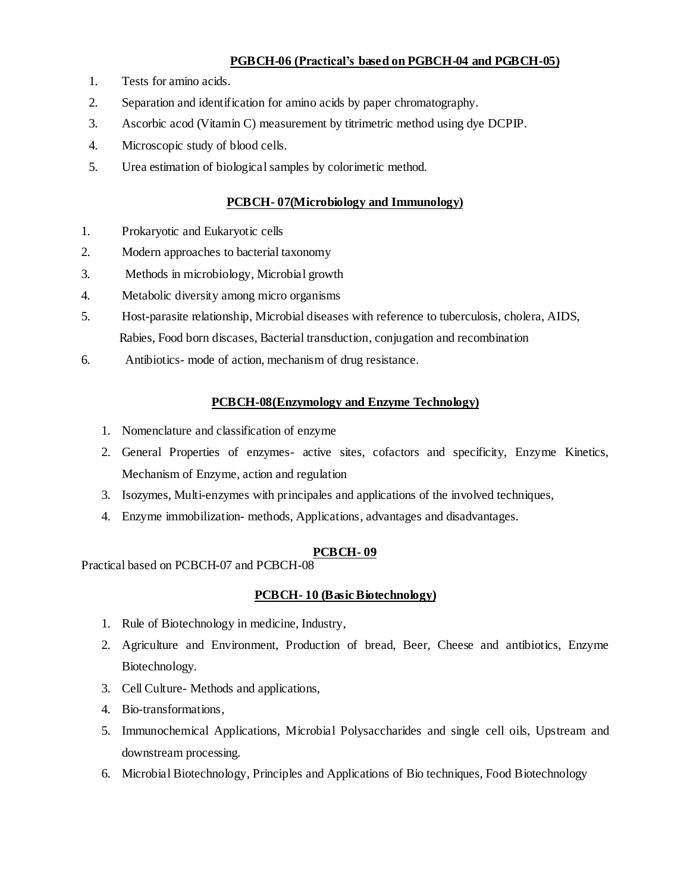### **PGBCH-06 (Practical's based on PGBCH-04 and PGBCH-05)**

- 1. Tests for amino acids.
- 2. Separation and identification for amino acids by paper chromatography.
- 3. Ascorbic acod (Vitamin C) measurement by titrimetric method using dye DCPIP.
- 4. Microscopic study of blood cells.
- 5. Urea estimation of biological samples by colorimetic method.

# **PCBCH- 07(Microbiology and Immunology)**

- 1. Prokaryotic and Eukaryotic cells
- 2. Modern approaches to bacterial taxonomy
- 3. Methods in microbiology, Microbial growth
- 4. Metabolic diversity among micro organisms
- 5. Host-parasite relationship, Microbial diseases with reference to tuberculosis, cholera, AIDS, Rabies, Food born discases, Bacterial transduction, conjugation and recombination
- 6. Antibiotics- mode of action, mechanism of drug resistance.

# **PCBCH-08(Enzymology and Enzyme Technology)**

- 1. Nomenclature and classification of enzyme
- 2. General Properties of enzymes- active sites, cofactors and specificity, Enzyme Kinetics, Mechanism of Enzyme, action and regulation
- 3. Isozymes, Multi-enzymes with principales and applications of the involved techniques,
- 4. Enzyme immobilization- methods, Applications, advantages and disadvantages.

# **PCBCH- 09**

Practical based on PCBCH-07 and PCBCH-08

# **PCBCH- 10 (Basic Biotechnology)**

- 1. Rule of Biotechnology in medicine, Industry,
- 2. Agriculture and Environment, Production of bread, Beer, Cheese and antibiotics, Enzyme Biotechnology.
- 3. Cell Culture- Methods and applications,
- 4. Bio-transformations,
- 5. Immunochemical Applications, Microbial Polysaccharides and single cell oils, Upstream and downstream processing.
- 6. Microbial Biotechnology, Principles and Applications of Bio techniques, Food Biotechnology